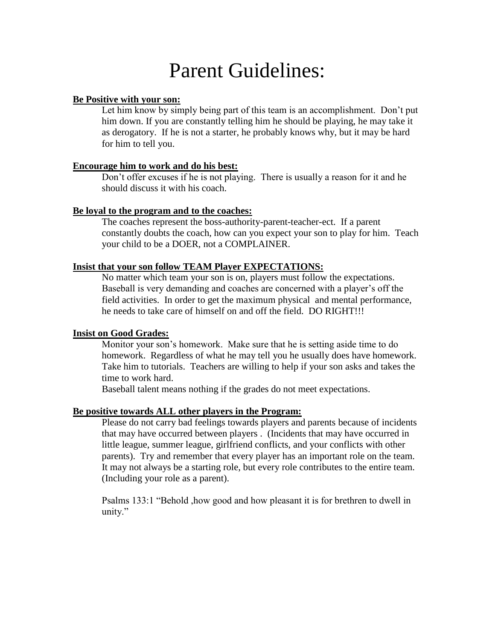# Parent Guidelines:

# **Be Positive with your son:**

Let him know by simply being part of this team is an accomplishment. Don't put him down. If you are constantly telling him he should be playing, he may take it as derogatory. If he is not a starter, he probably knows why, but it may be hard for him to tell you.

#### **Encourage him to work and do his best:**

Don't offer excuses if he is not playing. There is usually a reason for it and he should discuss it with his coach.

## **Be loyal to the program and to the coaches:**

The coaches represent the boss-authority-parent-teacher-ect. If a parent constantly doubts the coach, how can you expect your son to play for him. Teach your child to be a DOER, not a COMPLAINER.

## **Insist that your son follow TEAM Player EXPECTATIONS:**

No matter which team your son is on, players must follow the expectations. Baseball is very demanding and coaches are concerned with a player's off the field activities. In order to get the maximum physical and mental performance, he needs to take care of himself on and off the field. DO RIGHT!!!

#### **Insist on Good Grades:**

Monitor your son's homework. Make sure that he is setting aside time to do homework. Regardless of what he may tell you he usually does have homework. Take him to tutorials. Teachers are willing to help if your son asks and takes the time to work hard.

Baseball talent means nothing if the grades do not meet expectations.

#### **Be positive towards ALL other players in the Program:**

Please do not carry bad feelings towards players and parents because of incidents that may have occurred between players . (Incidents that may have occurred in little league, summer league, girlfriend conflicts, and your conflicts with other parents). Try and remember that every player has an important role on the team. It may not always be a starting role, but every role contributes to the entire team. (Including your role as a parent).

Psalms 133:1 "Behold ,how good and how pleasant it is for brethren to dwell in unity."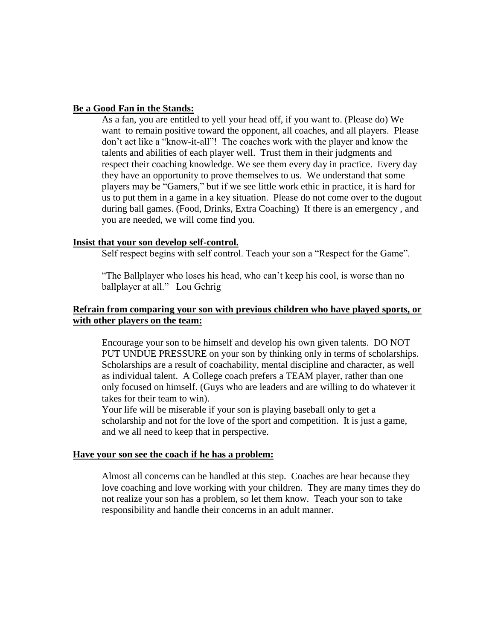#### **Be a Good Fan in the Stands:**

As a fan, you are entitled to yell your head off, if you want to. (Please do) We want to remain positive toward the opponent, all coaches, and all players. Please don't act like a "know-it-all"! The coaches work with the player and know the talents and abilities of each player well. Trust them in their judgments and respect their coaching knowledge. We see them every day in practice. Every day they have an opportunity to prove themselves to us. We understand that some players may be "Gamers," but if we see little work ethic in practice, it is hard for us to put them in a game in a key situation. Please do not come over to the dugout during ball games. (Food, Drinks, Extra Coaching) If there is an emergency , and you are needed, we will come find you.

#### **Insist that your son develop self-control.**

Self respect begins with self control. Teach your son a "Respect for the Game".

"The Ballplayer who loses his head, who can't keep his cool, is worse than no ballplayer at all." Lou Gehrig

## **Refrain from comparing your son with previous children who have played sports, or with other players on the team:**

Encourage your son to be himself and develop his own given talents. DO NOT PUT UNDUE PRESSURE on your son by thinking only in terms of scholarships. Scholarships are a result of coachability, mental discipline and character, as well as individual talent. A College coach prefers a TEAM player, rather than one only focused on himself. (Guys who are leaders and are willing to do whatever it takes for their team to win).

Your life will be miserable if your son is playing baseball only to get a scholarship and not for the love of the sport and competition. It is just a game, and we all need to keep that in perspective.

#### **Have your son see the coach if he has a problem:**

Almost all concerns can be handled at this step. Coaches are hear because they love coaching and love working with your children. They are many times they do not realize your son has a problem, so let them know. Teach your son to take responsibility and handle their concerns in an adult manner.